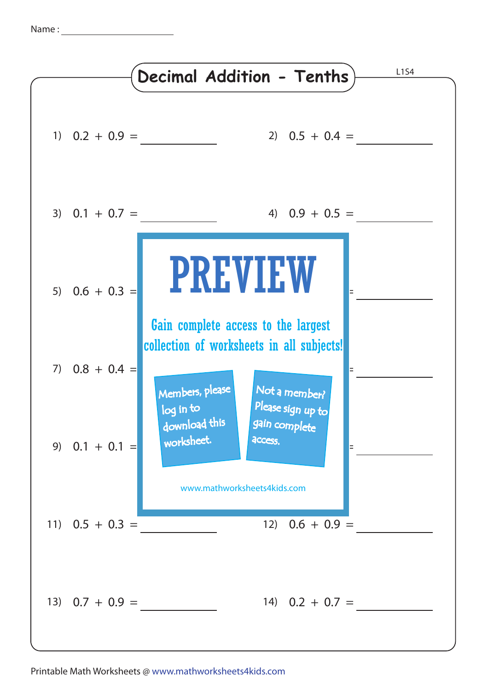